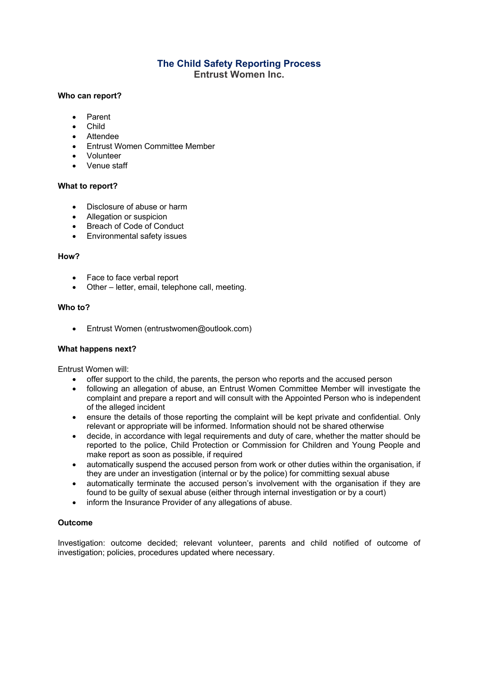# **The Child Safety Reporting Process Entrust Women Inc.**

# **Who can report?**

- Parent
- Child
- Attendee
- Entrust Women Committee Member
- Volunteer
- Venue staff

# **What to report?**

- Disclosure of abuse or harm
- Allegation or suspicion
- Breach of Code of Conduct
- Environmental safety issues

#### **How?**

- Face to face verbal report
- Other letter, email, telephone call, meeting.

#### **Who to?**

• Entrust Women (entrustwomen@outlook.com)

### **What happens next?**

Entrust Women will:

- offer support to the child, the parents, the person who reports and the accused person
- following an allegation of abuse, an Entrust Women Committee Member will investigate the complaint and prepare a report and will consult with the Appointed Person who is independent of the alleged incident
- ensure the details of those reporting the complaint will be kept private and confidential. Only relevant or appropriate will be informed. Information should not be shared otherwise
- decide, in accordance with legal requirements and duty of care, whether the matter should be reported to the police, Child Protection or Commission for Children and Young People and make report as soon as possible, if required
- automatically suspend the accused person from work or other duties within the organisation, if they are under an investigation (internal or by the police) for committing sexual abuse
- automatically terminate the accused person's involvement with the organisation if they are found to be guilty of sexual abuse (either through internal investigation or by a court)
- inform the Insurance Provider of any allegations of abuse.

### **Outcome**

Investigation: outcome decided; relevant volunteer, parents and child notified of outcome of investigation; policies, procedures updated where necessary.